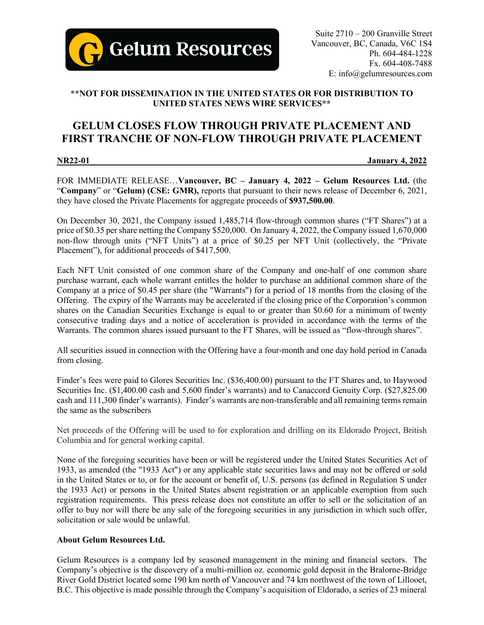

# **\*\*NOT FOR DISSEMINATION IN THE UNITED STATES OR FOR DISTRIBUTION TO UNITED STATES NEWS WIRE SERVICES\*\***

# **GELUM CLOSES FLOW THROUGH PRIVATE PLACEMENT AND FIRST TRANCHE OF NON-FLOW THROUGH PRIVATE PLACEMENT**

### **NR22-01 January 4, 2022**

FOR IMMEDIATE RELEASE…**Vancouver, BC – January 4, 2022 – Gelum Resources Ltd.** (the "**Company**" or "**Gelum) (CSE: GMR),** reports that pursuant to their news release of December 6, 2021, they have closed the Private Placements for aggregate proceeds of **\$937,500.00**.

On December 30, 2021, the Company issued 1,485,714 flow-through common shares ("FT Shares") at a price of \$0.35 per share netting the Company \$520,000. On January 4, 2022, the Company issued 1,670,000 non-flow through units ("NFT Units") at a price of \$0.25 per NFT Unit (collectively, the "Private Placement"), for additional proceeds of \$417,500.

Each NFT Unit consisted of one common share of the Company and one-half of one common share purchase warrant, each whole warrant entitles the holder to purchase an additional common share of the Company at a price of \$0.45 per share (the "Warrants") for a period of 18 months from the closing of the Offering. The expiry of the Warrants may be accelerated if the closing price of the Corporation's common shares on the Canadian Securities Exchange is equal to or greater than \$0.60 for a minimum of twenty consecutive trading days and a notice of acceleration is provided in accordance with the terms of the Warrants. The common shares issued pursuant to the FT Shares, will be issued as "flow-through shares".

All securities issued in connection with the Offering have a four-month and one day hold period in Canada from closing.

Finder's fees were paid to Glores Securities Inc. (\$36,400.00) pursuant to the FT Shares and, to Haywood Securities Inc. (\$1,400.00 cash and 5,600 finder's warrants) and to Canaccord Genuity Corp. (\$27,825.00 cash and 111,300 finder's warrants). Finder's warrants are non-transferable and all remaining terms remain the same as the subscribers

Net proceeds of the Offering will be used to for exploration and drilling on its Eldorado Project, British Columbia and for general working capital.

None of the foregoing securities have been or will be registered under the United States Securities Act of 1933, as amended (the "1933 Act") or any applicable state securities laws and may not be offered or sold in the United States or to, or for the account or benefit of, U.S. persons (as defined in Regulation S under the 1933 Act) or persons in the United States absent registration or an applicable exemption from such registration requirements. This press release does not constitute an offer to sell or the solicitation of an offer to buy nor will there be any sale of the foregoing securities in any jurisdiction in which such offer, solicitation or sale would be unlawful.

## **About Gelum Resources Ltd.**

Gelum Resources is a company led by seasoned management in the mining and financial sectors. The Company's objective is the discovery of a multi-million oz. economic gold deposit in the Bralorne-Bridge River Gold District located some 190 km north of Vancouver and 74 km northwest of the town of Lillooet, B.C. This objective is made possible through the Company's acquisition of Eldorado, a series of 23 mineral